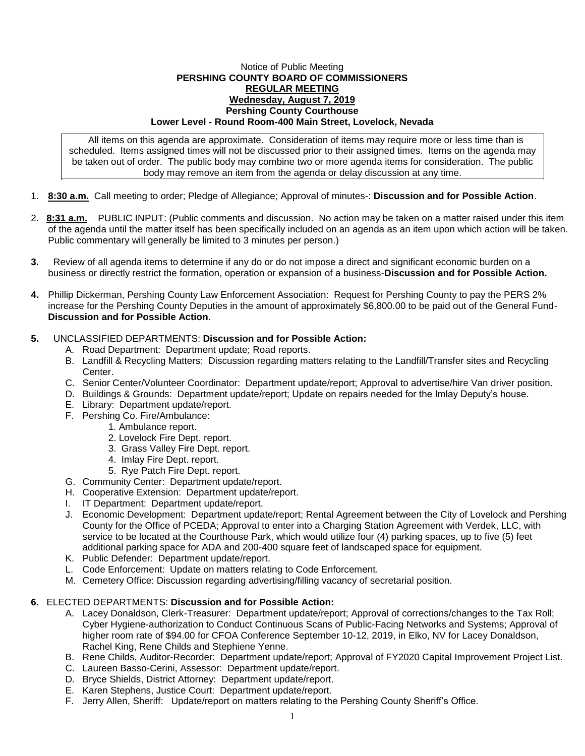## Notice of Public Meeting **PERSHING COUNTY BOARD OF COMMISSIONERS REGULAR MEETING Wednesday, August 7, 2019 Pershing County Courthouse Lower Level - Round Room-400 Main Street, Lovelock, Nevada**

All items on this agenda are approximate. Consideration of items may require more or less time than is scheduled. Items assigned times will not be discussed prior to their assigned times. Items on the agenda may be taken out of order. The public body may combine two or more agenda items for consideration. The public body may remove an item from the agenda or delay discussion at any time.

- 1. **8:30 a.m.** Call meeting to order; Pledge of Allegiance; Approval of minutes-: **Discussion and for Possible Action**.
- 2. **8:31 a.m.** PUBLIC INPUT: (Public comments and discussion. No action may be taken on a matter raised under this item of the agenda until the matter itself has been specifically included on an agenda as an item upon which action will be taken. Public commentary will generally be limited to 3 minutes per person.)
- **3.** Review of all agenda items to determine if any do or do not impose a direct and significant economic burden on a business or directly restrict the formation, operation or expansion of a business-**Discussion and for Possible Action.**
- **4.** Phillip Dickerman, Pershing County Law Enforcement Association: Request for Pershing County to pay the PERS 2% increase for the Pershing County Deputies in the amount of approximately \$6,800.00 to be paid out of the General Fund-**Discussion and for Possible Action**.

## **5.** UNCLASSIFIED DEPARTMENTS: **Discussion and for Possible Action:**

- A. Road Department: Department update; Road reports.
- B. Landfill & Recycling Matters: Discussion regarding matters relating to the Landfill/Transfer sites and Recycling Center.
- C. Senior Center/Volunteer Coordinator: Department update/report; Approval to advertise/hire Van driver position.
- D. Buildings & Grounds: Department update/report; Update on repairs needed for the Imlay Deputy's house.
- E. Library: Department update/report.
- F. Pershing Co. Fire/Ambulance:
	- 1. Ambulance report.
	- 2. Lovelock Fire Dept. report.
	- 3. Grass Valley Fire Dept. report.
	- 4. Imlay Fire Dept. report.
	- 5. Rye Patch Fire Dept. report.
- G. Community Center: Department update/report.
- H. Cooperative Extension: Department update/report.
- I. IT Department: Department update/report.
- J. Economic Development: Department update/report; Rental Agreement between the City of Lovelock and Pershing County for the Office of PCEDA; Approval to enter into a Charging Station Agreement with Verdek, LLC, with service to be located at the Courthouse Park, which would utilize four (4) parking spaces, up to five (5) feet additional parking space for ADA and 200-400 square feet of landscaped space for equipment.
- K. Public Defender: Department update/report.
- L. Code Enforcement: Update on matters relating to Code Enforcement.
- M. Cemetery Office: Discussion regarding advertising/filling vacancy of secretarial position.

## **6.** ELECTED DEPARTMENTS: **Discussion and for Possible Action:**

- A. Lacey Donaldson, Clerk-Treasurer: Department update/report; Approval of corrections/changes to the Tax Roll; Cyber Hygiene-authorization to Conduct Continuous Scans of Public-Facing Networks and Systems; Approval of higher room rate of \$94.00 for CFOA Conference September 10-12, 2019, in Elko, NV for Lacey Donaldson, Rachel King, Rene Childs and Stephiene Yenne.
- B. Rene Childs, Auditor-Recorder: Department update/report; Approval of FY2020 Capital Improvement Project List.
- C. Laureen Basso-Cerini, Assessor: Department update/report.
- D. Bryce Shields, District Attorney: Department update/report.
- E. Karen Stephens, Justice Court: Department update/report.
- F. Jerry Allen, Sheriff: Update/report on matters relating to the Pershing County Sheriff's Office.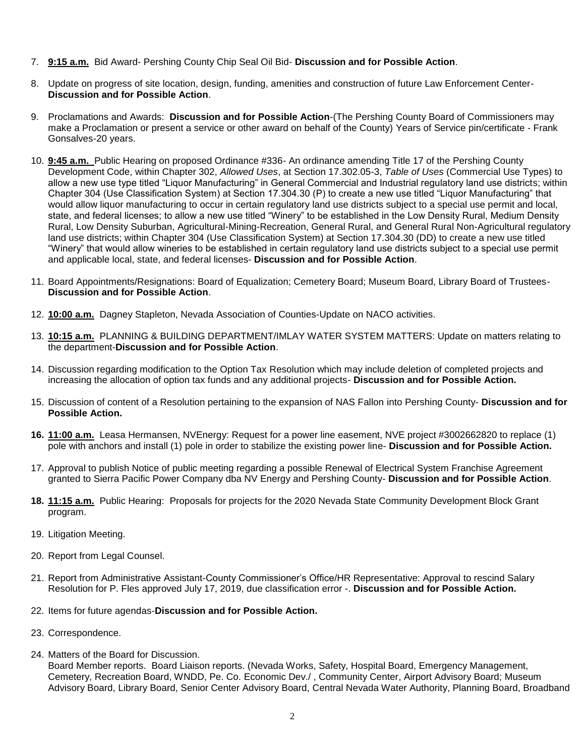- 7. **9:15 a.m.** Bid Award- Pershing County Chip Seal Oil Bid- **Discussion and for Possible Action**.
- 8. Update on progress of site location, design, funding, amenities and construction of future Law Enforcement Center-**Discussion and for Possible Action**.
- 9. Proclamations and Awards: **Discussion and for Possible Action**-(The Pershing County Board of Commissioners may make a Proclamation or present a service or other award on behalf of the County) Years of Service pin/certificate - Frank Gonsalves-20 years.
- 10. **9:45 a.m.** Public Hearing on proposed Ordinance #336- An ordinance amending Title 17 of the Pershing County Development Code, within Chapter 302, *Allowed Uses*, at Section 17.302.05-3, *Table of Uses* (Commercial Use Types) to allow a new use type titled "Liquor Manufacturing" in General Commercial and Industrial regulatory land use districts; within Chapter 304 (Use Classification System) at Section 17.304.30 (P) to create a new use titled "Liquor Manufacturing" that would allow liquor manufacturing to occur in certain regulatory land use districts subject to a special use permit and local, state, and federal licenses; to allow a new use titled "Winery" to be established in the Low Density Rural, Medium Density Rural, Low Density Suburban, Agricultural-Mining-Recreation, General Rural, and General Rural Non-Agricultural regulatory land use districts; within Chapter 304 (Use Classification System) at Section 17.304.30 (DD) to create a new use titled "Winery" that would allow wineries to be established in certain regulatory land use districts subject to a special use permit and applicable local, state, and federal licenses- **Discussion and for Possible Action**.
- 11. Board Appointments/Resignations: Board of Equalization; Cemetery Board; Museum Board, Library Board of Trustees-**Discussion and for Possible Action**.
- 12. **10:00 a.m.** Dagney Stapleton, Nevada Association of Counties-Update on NACO activities.
- 13. **10:15 a.m.** PLANNING & BUILDING DEPARTMENT/IMLAY WATER SYSTEM MATTERS: Update on matters relating to the department-**Discussion and for Possible Action**.
- 14. Discussion regarding modification to the Option Tax Resolution which may include deletion of completed projects and increasing the allocation of option tax funds and any additional projects- **Discussion and for Possible Action.**
- 15. Discussion of content of a Resolution pertaining to the expansion of NAS Fallon into Pershing County- **Discussion and for Possible Action.**
- **16. 11:00 a.m.** Leasa Hermansen, NVEnergy: Request for a power line easement, NVE project #3002662820 to replace (1) pole with anchors and install (1) pole in order to stabilize the existing power line- **Discussion and for Possible Action.**
- 17. Approval to publish Notice of public meeting regarding a possible Renewal of Electrical System Franchise Agreement granted to Sierra Pacific Power Company dba NV Energy and Pershing County- **Discussion and for Possible Action**.
- **18. 11:15 a.m.** Public Hearing: Proposals for projects for the 2020 Nevada State Community Development Block Grant program.
- 19. Litigation Meeting.
- 20. Report from Legal Counsel.
- 21. Report from Administrative Assistant-County Commissioner's Office/HR Representative: Approval to rescind Salary Resolution for P. Fles approved July 17, 2019, due classification error -. **Discussion and for Possible Action.**
- 22. Items for future agendas-**Discussion and for Possible Action.**
- 23. Correspondence.
- 24. Matters of the Board for Discussion.

Board Member reports. Board Liaison reports. (Nevada Works, Safety, Hospital Board, Emergency Management, Cemetery, Recreation Board, WNDD, Pe. Co. Economic Dev./ , Community Center, Airport Advisory Board; Museum Advisory Board, Library Board, Senior Center Advisory Board, Central Nevada Water Authority, Planning Board, Broadband